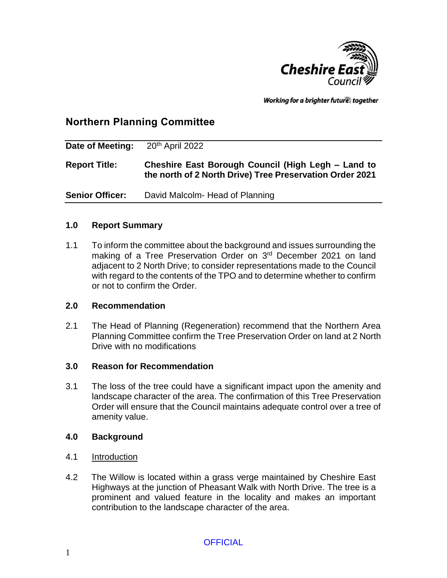

Working for a brighter futures together

# **Northern Planning Committee**

| Date of Meeting:       | 20 <sup>th</sup> April 2022                                                                                    |
|------------------------|----------------------------------------------------------------------------------------------------------------|
| <b>Report Title:</b>   | Cheshire East Borough Council (High Legh – Land to<br>the north of 2 North Drive) Tree Preservation Order 2021 |
| <b>Senior Officer:</b> | David Malcolm- Head of Planning                                                                                |

### **1.0 Report Summary**

1.1 To inform the committee about the background and issues surrounding the making of a Tree Preservation Order on 3<sup>rd</sup> December 2021 on land adjacent to 2 North Drive; to consider representations made to the Council with regard to the contents of the TPO and to determine whether to confirm or not to confirm the Order.

### **2.0 Recommendation**

2.1 The Head of Planning (Regeneration) recommend that the Northern Area Planning Committee confirm the Tree Preservation Order on land at 2 North Drive with no modifications

### **3.0 Reason for Recommendation**

3.1 The loss of the tree could have a significant impact upon the amenity and landscape character of the area. The confirmation of this Tree Preservation Order will ensure that the Council maintains adequate control over a tree of amenity value.

### **4.0 Background**

- 4.1 Introduction
- 4.2 The Willow is located within a grass verge maintained by Cheshire East Highways at the junction of Pheasant Walk with North Drive. The tree is a prominent and valued feature in the locality and makes an important contribution to the landscape character of the area.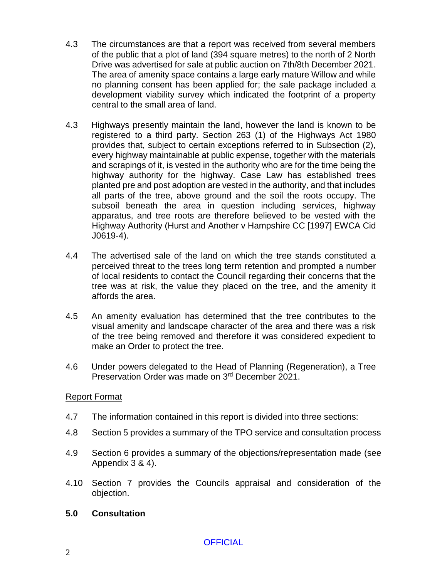- 4.3 The circumstances are that a report was received from several members of the public that a plot of land (394 square metres) to the north of 2 North Drive was advertised for sale at public auction on 7th/8th December 2021. The area of amenity space contains a large early mature Willow and while no planning consent has been applied for; the sale package included a development viability survey which indicated the footprint of a property central to the small area of land.
- 4.3 Highways presently maintain the land, however the land is known to be registered to a third party. Section 263 (1) of the Highways Act 1980 provides that, subject to certain exceptions referred to in Subsection (2), every highway maintainable at public expense, together with the materials and scrapings of it, is vested in the authority who are for the time being the highway authority for the highway. Case Law has established trees planted pre and post adoption are vested in the authority, and that includes all parts of the tree, above ground and the soil the roots occupy. The subsoil beneath the area in question including services, highway apparatus, and tree roots are therefore believed to be vested with the Highway Authority (Hurst and Another v Hampshire CC [1997] EWCA Cid J0619-4).
- 4.4 The advertised sale of the land on which the tree stands constituted a perceived threat to the trees long term retention and prompted a number of local residents to contact the Council regarding their concerns that the tree was at risk, the value they placed on the tree, and the amenity it affords the area.
- 4.5 An amenity evaluation has determined that the tree contributes to the visual amenity and landscape character of the area and there was a risk of the tree being removed and therefore it was considered expedient to make an Order to protect the tree.
- 4.6 Under powers delegated to the Head of Planning (Regeneration), a Tree Preservation Order was made on 3rd December 2021.

### Report Format

- 4.7 The information contained in this report is divided into three sections:
- 4.8 Section 5 provides a summary of the TPO service and consultation process
- 4.9 Section 6 provides a summary of the objections/representation made (see Appendix 3 & 4).
- 4.10 Section 7 provides the Councils appraisal and consideration of the objection.
- **5.0 Consultation**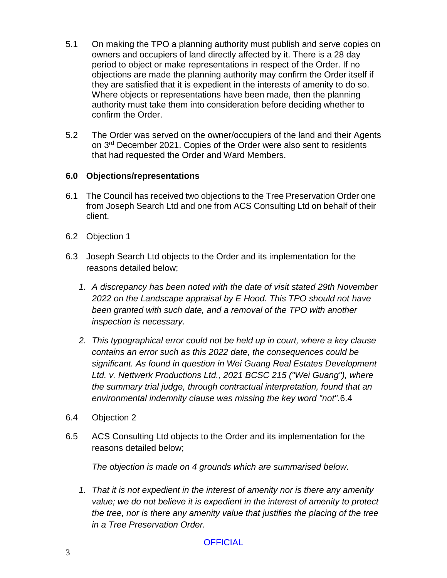- 5.1 On making the TPO a planning authority must publish and serve copies on owners and occupiers of land directly affected by it. There is a 28 day period to object or make representations in respect of the Order. If no objections are made the planning authority may confirm the Order itself if they are satisfied that it is expedient in the interests of amenity to do so. Where objects or representations have been made, then the planning authority must take them into consideration before deciding whether to confirm the Order.
- 5.2 The Order was served on the owner/occupiers of the land and their Agents on 3<sup>rd</sup> December 2021. Copies of the Order were also sent to residents that had requested the Order and Ward Members.

### **6.0 Objections/representations**

- 6.1 The Council has received two objections to the Tree Preservation Order one from Joseph Search Ltd and one from ACS Consulting Ltd on behalf of their client.
- 6.2 Objection 1
- 6.3 Joseph Search Ltd objects to the Order and its implementation for the reasons detailed below;
	- *1. A discrepancy has been noted with the date of visit stated 29th November 2022 on the Landscape appraisal by E Hood. This TPO should not have been granted with such date, and a removal of the TPO with another inspection is necessary.*
	- *2. This typographical error could not be held up in court, where a key clause contains an error such as this 2022 date, the consequences could be significant. As found in question in Wei Guang Real Estates Development Ltd. v. Nettwerk Productions Ltd., 2021 BCSC 215 ("Wei Guang"), where the summary trial judge, through contractual interpretation, found that an environmental indemnity clause was missing the key word "not".*6.4
- 6.4 Objection 2
- 6.5 ACS Consulting Ltd objects to the Order and its implementation for the reasons detailed below;

*The objection is made on 4 grounds which are summarised below.* 

*1. That it is not expedient in the interest of amenity nor is there any amenity value; we do not believe it is expedient in the interest of amenity to protect the tree, nor is there any amenity value that justifies the placing of the tree in a Tree Preservation Order.*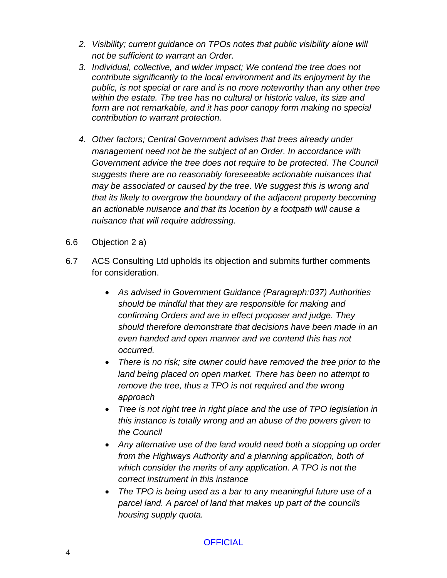- *2. Visibility; current guidance on TPOs notes that public visibility alone will not be sufficient to warrant an Order.*
- *3. Individual, collective, and wider impact; We contend the tree does not contribute significantly to the local environment and its enjoyment by the public, is not special or rare and is no more noteworthy than any other tree within the estate. The tree has no cultural or historic value, its size and form are not remarkable, and it has poor canopy form making no special contribution to warrant protection.*
- *4. Other factors; Central Government advises that trees already under management need not be the subject of an Order. In accordance with Government advice the tree does not require to be protected. The Council suggests there are no reasonably foreseeable actionable nuisances that may be associated or caused by the tree. We suggest this is wrong and that its likely to overgrow the boundary of the adjacent property becoming an actionable nuisance and that its location by a footpath will cause a nuisance that will require addressing.*
- 6.6 Objection 2 a)
- 6.7 ACS Consulting Ltd upholds its objection and submits further comments for consideration.
	- *As advised in Government Guidance (Paragraph:037) Authorities should be mindful that they are responsible for making and confirming Orders and are in effect proposer and judge. They should therefore demonstrate that decisions have been made in an even handed and open manner and we contend this has not occurred.*
	- *There is no risk; site owner could have removed the tree prior to the land being placed on open market. There has been no attempt to remove the tree, thus a TPO is not required and the wrong approach*
	- *Tree is not right tree in right place and the use of TPO legislation in this instance is totally wrong and an abuse of the powers given to the Council*
	- *Any alternative use of the land would need both a stopping up order from the Highways Authority and a planning application, both of which consider the merits of any application. A TPO is not the correct instrument in this instance*
	- *The TPO is being used as a bar to any meaningful future use of a parcel land. A parcel of land that makes up part of the councils housing supply quota.*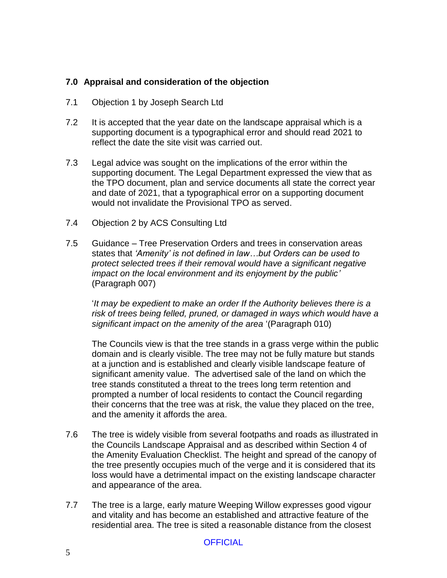### **7.0 Appraisal and consideration of the objection**

- 7.1 Objection 1 by Joseph Search Ltd
- 7.2 It is accepted that the year date on the landscape appraisal which is a supporting document is a typographical error and should read 2021 to reflect the date the site visit was carried out.
- 7.3 Legal advice was sought on the implications of the error within the supporting document. The Legal Department expressed the view that as the TPO document, plan and service documents all state the correct year and date of 2021, that a typographical error on a supporting document would not invalidate the Provisional TPO as served.
- 7.4 Objection 2 by ACS Consulting Ltd
- 7.5 Guidance Tree Preservation Orders and trees in conservation areas states that *'Amenity' is not defined in law…but Orders can be used to protect selected trees if their removal would have a significant negative impact on the local environment and its enjoyment by the public'* (Paragraph 007)

'*It may be expedient to make an order If the Authority believes there is a*  risk of trees being felled, pruned, or damaged in ways which would have a *significant impact on the amenity of the area* '(Paragraph 010)

The Councils view is that the tree stands in a grass verge within the public domain and is clearly visible. The tree may not be fully mature but stands at a junction and is established and clearly visible landscape feature of significant amenity value. The advertised sale of the land on which the tree stands constituted a threat to the trees long term retention and prompted a number of local residents to contact the Council regarding their concerns that the tree was at risk, the value they placed on the tree, and the amenity it affords the area.

- 7.6 The tree is widely visible from several footpaths and roads as illustrated in the Councils Landscape Appraisal and as described within Section 4 of the Amenity Evaluation Checklist. The height and spread of the canopy of the tree presently occupies much of the verge and it is considered that its loss would have a detrimental impact on the existing landscape character and appearance of the area.
- 7.7 The tree is a large, early mature Weeping Willow expresses good vigour and vitality and has become an established and attractive feature of the residential area. The tree is sited a reasonable distance from the closest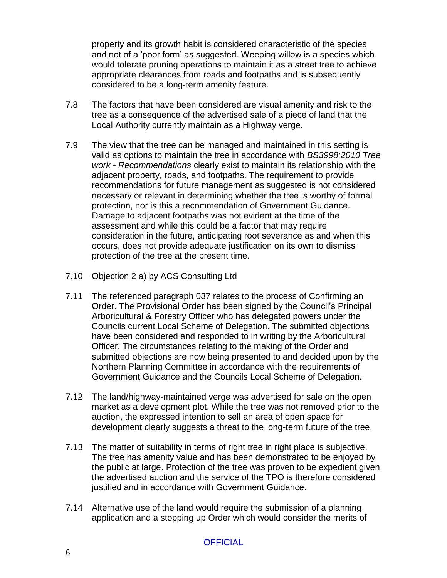property and its growth habit is considered characteristic of the species and not of a 'poor form' as suggested. Weeping willow is a species which would tolerate pruning operations to maintain it as a street tree to achieve appropriate clearances from roads and footpaths and is subsequently considered to be a long-term amenity feature.

- 7.8 The factors that have been considered are visual amenity and risk to the tree as a consequence of the advertised sale of a piece of land that the Local Authority currently maintain as a Highway verge.
- 7.9 The view that the tree can be managed and maintained in this setting is valid as options to maintain the tree in accordance with *BS3998:2010 Tree work - Recommendations* clearly exist to maintain its relationship with the adjacent property, roads, and footpaths. The requirement to provide recommendations for future management as suggested is not considered necessary or relevant in determining whether the tree is worthy of formal protection, nor is this a recommendation of Government Guidance. Damage to adjacent footpaths was not evident at the time of the assessment and while this could be a factor that may require consideration in the future, anticipating root severance as and when this occurs, does not provide adequate justification on its own to dismiss protection of the tree at the present time.
- 7.10 Objection 2 a) by ACS Consulting Ltd
- 7.11 The referenced paragraph 037 relates to the process of Confirming an Order. The Provisional Order has been signed by the Council's Principal Arboricultural & Forestry Officer who has delegated powers under the Councils current Local Scheme of Delegation. The submitted objections have been considered and responded to in writing by the Arboricultural Officer. The circumstances relating to the making of the Order and submitted objections are now being presented to and decided upon by the Northern Planning Committee in accordance with the requirements of Government Guidance and the Councils Local Scheme of Delegation.
- 7.12 The land/highway-maintained verge was advertised for sale on the open market as a development plot. While the tree was not removed prior to the auction, the expressed intention to sell an area of open space for development clearly suggests a threat to the long-term future of the tree.
- 7.13 The matter of suitability in terms of right tree in right place is subjective. The tree has amenity value and has been demonstrated to be enjoyed by the public at large. Protection of the tree was proven to be expedient given the advertised auction and the service of the TPO is therefore considered justified and in accordance with Government Guidance.
- 7.14 Alternative use of the land would require the submission of a planning application and a stopping up Order which would consider the merits of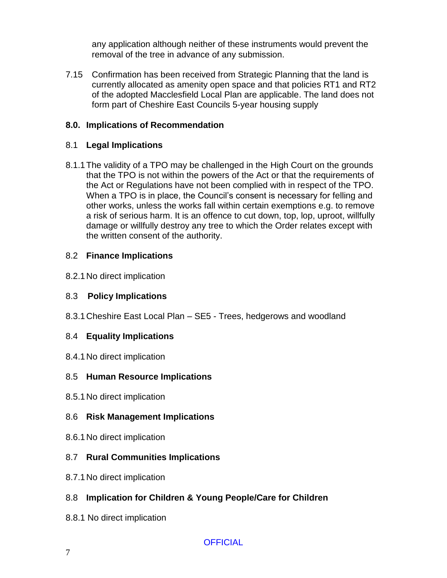any application although neither of these instruments would prevent the removal of the tree in advance of any submission.

7.15 Confirmation has been received from Strategic Planning that the land is currently allocated as amenity open space and that policies RT1 and RT2 of the adopted Macclesfield Local Plan are applicable. The land does not form part of Cheshire East Councils 5-year housing supply

### **8.0. Implications of Recommendation**

### 8.1 **Legal Implications**

8.1.1The validity of a TPO may be challenged in the High Court on the grounds that the TPO is not within the powers of the Act or that the requirements of the Act or Regulations have not been complied with in respect of the TPO. When a TPO is in place, the Council's consent is necessary for felling and other works, unless the works fall within certain exemptions e.g. to remove a risk of serious harm. It is an offence to cut down, top, lop, uproot, willfully damage or willfully destroy any tree to which the Order relates except with the written consent of the authority.

### 8.2 **Finance Implications**

8.2.1No direct implication

## 8.3 **Policy Implications**

8.3.1Cheshire East Local Plan – SE5 - Trees, hedgerows and woodland

## 8.4 **Equality Implications**

8.4.1No direct implication

## 8.5 **Human Resource Implications**

8.5.1No direct implication

## 8.6 **Risk Management Implications**

8.6.1No direct implication

## 8.7 **Rural Communities Implications**

8.7.1No direct implication

# 8.8 **Implication for Children & Young People/Care for Children**

8.8.1 No direct implication